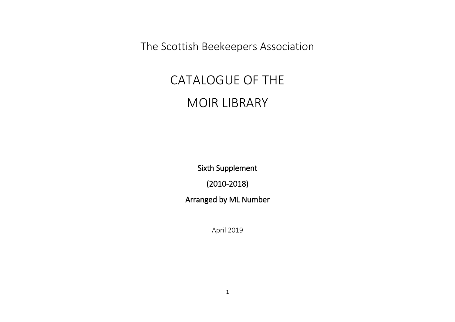The Scottish Beekeepers Association

## CATALOGUE OF THE MOIR LIBRARY

Sixth Supplement

(2010-2018)

Arranged by ML Number

April 2019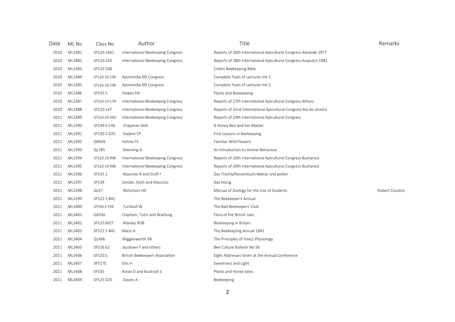| Date | ML No  | Class No      | Author                            | Title                                                             | Remarks        |
|------|--------|---------------|-----------------------------------|-------------------------------------------------------------------|----------------|
| 2010 | ML3381 | SF520.1661    | International Beekeeping Congress | Reports of 26th International Apicultural Congress Adelaide 1977  |                |
| 2010 | ML3882 | SF520.143     | International Beekeeping Congress | Reports of 28th International Apicultural Congress Acapulco 1981  |                |
| 2010 | ML3383 | SF525 C68     |                                   | Collins Beekeeping Bible                                          |                |
| 2010 | ML3384 | SF520.19 C99  | Apimondia XIX Congress            | Complete Texts of Lectures Vol 1                                  |                |
| 2010 | ML3385 | SF520.19 C99  | Apimondia XIX Congress            | Complete Texts of Lectures Vol 2                                  |                |
| 2010 | ML3386 | SF535.5       | Howes FN                          | Plants and Beekeeping                                             |                |
| 2010 | ML3387 | SF520.19 C79  | International Beekeeping Congress | Reports of 27th International Apicultural Congress Athens         |                |
| 2010 | ML3388 | SF520.147     | International Beekeeping Congress | Reports of 32nd International Apicultural Congress Rio de Janeiro |                |
| 2011 | ML3389 | SF520.19 H93  | International Beekeeping Congress | Reports of 29th International Apicultural Congress                |                |
| 2011 | ML3390 | SF530.5 C46   | Chapman ADA                       | A Honey Bee and her Master                                        |                |
| 2011 | ML3391 | SF530.3 D25   | Dadant CP                         | First Lessons in Beekeeping                                       |                |
| 2011 | ML3392 | QR926         | Holme FE                          | Familiar Wild Flowers                                             |                |
| 2011 | ML3393 | QL785         | Manning A                         | An Introduction to Animal Behaviour                               |                |
| 2011 | ML3394 | SF520.19 R98  | International Beekeeping Congress | Reports of 20th International Apicultural Congress Bucharest      |                |
| 2011 | ML3395 | SF520.19 R98  | International Beekeeping Congress | Reports of 20th International Apicultural Congress Bucharest      |                |
| 2011 | ML3396 | SF535.1       | Maurizio A and Grafl I            | Das Trachtpflanzenbuch Nektar und pollen                          |                |
| 2011 | ML3397 | SF539         | Zander, Koch and Maurizio         | Das Honig                                                         |                |
| 2011 | ML3398 | QL47          | Nicholson HA                      | Manual of Zoology for the Use of Students                         | Robert Couston |
| 2011 | ML3399 | SF521.5 B41   |                                   | The Beekeeper's Annual                                            |                |
| 2011 | ML3400 | SF530.3 T94   | Turnbull W                        | The Bad Beekeepers' Club                                          |                |
| 2011 | ML3401 | QK926         | Clapham, Tutin and Warburg        | Flora of the British Isles                                        |                |
| 2011 | ML3402 | SF525.M27     | Manley ROB                        | Beekeeping in Britain                                             |                |
| 2011 | ML3403 | SF521.5 B41   | Mace H                            | The Beekeeping Annual 1941                                        |                |
| 2011 | ML3404 | QL496         | Wigglesworth VB                   | The Principles of Insect Physiology                               |                |
| 2011 | ML3405 | SF526.62      | Jacobsen F and others             | Bee Culture Bulletin No 56                                        |                |
| 2011 | ML3406 | SF520.5       | British Beekeepers Association    | Eight Addresses Given at the Annual Conference                    |                |
| 2011 | ML3407 | <b>SF517E</b> | Ellis H                           | Sweetness and Light                                               |                |
| 2011 | ML3408 | SF535         | Aston D and Bucknall S            | Plants and Honey bees                                             |                |
| 2011 | ML3409 | SF525 D25     | Davies A                          | Beekeeping                                                        |                |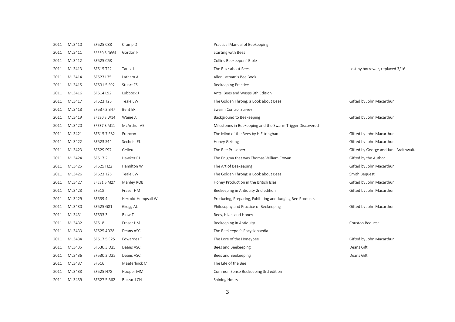| 2011 | ML3410 | SF525 C88    | Cramp D            | Practical Manual of Beekeeping                            |                                       |
|------|--------|--------------|--------------------|-----------------------------------------------------------|---------------------------------------|
| 2011 | ML3411 | SF530.3 G664 | Gordon P           | Starting with Bees                                        |                                       |
| 2011 | ML3412 | SF525 C68    |                    | Collins Beekeepers' Bible                                 |                                       |
| 2011 | ML3413 | SF515 T22    | Tautz J            | The Buzz about Bees                                       | Lost by borrower, replaced 3/16       |
| 2011 | ML3414 | SF523 L35    | Latham A           | Allen Latham's Bee Book                                   |                                       |
| 2011 | ML3415 | SF531.5 S92  | Stuart FS          | <b>Beekeeping Practice</b>                                |                                       |
| 2011 | ML3416 | SF514 L92    | Lubbock J          | Ants, Bees and Wasps 9th Edition                          |                                       |
| 2011 | ML3417 | SF523 T25    | Teale EW           | The Golden Throng: a Book about Bees                      | Gifted by John Macarthur              |
| 2011 | ML3418 | SF537.3 B47  | Bent ER            | Swarm Control Survey                                      |                                       |
| 2011 | ML3419 | SF530.3 W14  | Waine A            | Background to Beekeeping                                  | Gifted by John Macarthur              |
| 2011 | ML3420 | SF537.3 M11  | McArthur AE        | Milestones in Beekeeping and the Swarm Trigger Discovered |                                       |
| 2011 | ML3421 | SF515.7 F82  | Francon J          | The Mind of the Bees by H Eltringham                      | Gifted by John Macarthur              |
| 2011 | ML3422 | SF523 S44    | Sechrist EL        | <b>Honey Getting</b>                                      | Gifted by John Macarthur              |
| 2011 | ML3423 | SF529 S97    | Gelieu J           | The Bee Preserver                                         | Gifted by George and June Braithwaite |
| 2011 | ML3424 | SF517.2      | Hawker RJ          | The Enigma that was Thomas William Cowan                  | Gifted by the Author                  |
| 2011 | ML3425 | SF525 H22    | Hamilton W         | The Art of Beekeeping                                     | Gifted by John Macarthur              |
| 2011 | ML3426 | SF523 T25    | Teale EW           | The Golden Throng: a Book about Bees                      | Smith Bequest                         |
| 2011 | ML3427 | SF531.5 M27  | Manley ROB         | Honey Production in the British Isles                     | Gifted by John Macarthur              |
| 2011 | ML3428 | SF518        | Fraser HM          | Beekeeping in Antiquity 2nd edition                       | Gifted by John Macarthur              |
| 2011 | ML3429 | SF539.4      | Herrold-Hempsall W | Producing, Preparing, Exhibiting and Judging Bee Products |                                       |
| 2011 | ML3430 | SF525 G81    | Gregg AL           | Philosophy and Practice of Beekeeping                     | Gifted by John Macarthur              |
| 2011 | ML3431 | SF533.3      | <b>Blow T</b>      | Bees, Hives and Honey                                     |                                       |
| 2011 | ML3432 | SF518        | Fraser HM          | Beekeeping in Antiquity                                   | Couston Bequest                       |
| 2011 | ML3433 | SF525 4D28   | Deans ASC          | The Beekeeper's Encyclopaedia                             |                                       |
| 2011 | ML3434 | SF517.5 E25  | Edwardes T         | The Lore of the Honeybee                                  | Gifted by John Macarthur              |
| 2011 | ML3435 | SF530.3 D25  | Deans ASC          | Bees and Beekeeping                                       | Deans Gift                            |
| 2011 | ML3436 | SF530.3 D25  | Deans ASC          | Bees and Beekeeping                                       | Deans Gift                            |
| 2011 | ML3437 | SF516        | Maeterlinck M      | The Life of the Bee                                       |                                       |
| 2011 | ML3438 | SF525 H78    | Hooper MM          | Common Sense Beekeeping 3rd edition                       |                                       |
| 2011 | ML3439 | SF527.5 B62  | Buzzard CN         | <b>Shining Hours</b>                                      |                                       |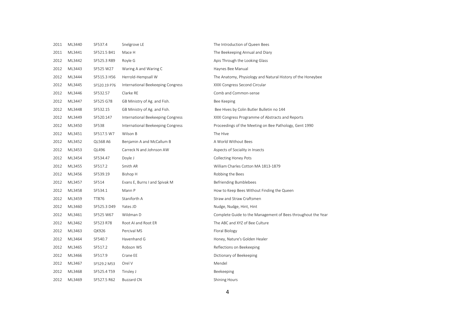| 2011 | ML3440 | SF537.4      | Snelgrove LE                      | The Introduction of Queen Bees                               |
|------|--------|--------------|-----------------------------------|--------------------------------------------------------------|
| 2011 | ML3441 | SF521.5 B41  | Mace H                            | The Beekeeping Annual and Diary                              |
| 2012 | ML3442 | SF525.3 R89  | Royle G                           | Apis Through the Looking Glass                               |
| 2012 | ML3443 | SF525 W27    | Waring A and Waring C             | Haynes Bee Manual                                            |
| 2012 | ML3444 | SF515.3 H56  | Herrold-Hempsall W                | The Anatomy, Physiology and Natural History of the Honeybee  |
| 2012 | ML3445 | SF520.19 P76 | International Beekeeping Congress | XXXI Congress Second Circular                                |
| 2012 | ML3446 | SF532.57     | Clarke RE                         | Comb and Common-sense                                        |
| 2012 | ML3447 | SF525 G78    | GB Ministry of Ag. and Fish.      | Bee Keeping                                                  |
| 2012 | ML3448 | SF532.15     | GB Ministry of Ag. and Fish.      | Bee Hives by Colin Butler Bulletin no 144                    |
| 2012 | ML3449 | SF520.147    | International Beekeeping Congress | XXXI Congress Programme of Abstracts and Reports             |
| 2012 | ML3450 | SF538        | International Beekeeping Congress | Proceedings of the Meeting on Bee Pathology, Gent 1990       |
| 2012 | ML3451 | SF517.5 W7   | Wilson B                          | The Hive                                                     |
| 2012 | ML3452 | QL568 A6     | Benjamin A and McCallum B         | A World Without Bees                                         |
| 2012 | ML3453 | QL496        | Carreck N and Johnson AW          | Aspects of Sociality in Insects                              |
| 2012 | ML3454 | SF534.47     | Doyle J                           | <b>Collecting Honey Pots</b>                                 |
| 2012 | ML3455 | SF517.2      | Smith AR                          | William Charles Cotton MA 1813-1879                          |
| 2012 | ML3456 | SF539.19     | Bishop H                          | Robbing the Bees                                             |
| 2012 | ML3457 | SF514        | Evans E, Burns I and Spivak M     | Befriending Bumblebees                                       |
| 2012 | ML3458 | SF534.1      | Mann P                            | How to Keep Bees Without Finding the Queen                   |
| 2012 | ML3459 | TT876        | Staniforth A                      | Straw and Straw Craftsmen                                    |
| 2012 | ML3460 | SF525.3 D49  | Yates JD                          | Nudge, Nudge, Hint, Hint                                     |
| 2012 | ML3461 | SF525 W67    | Wildman D                         | Complete Guide to the Management of Bees throughout the Year |
| 2012 | ML3462 | SF523 R78    | Root AI and Root ER               | The ABC and XYZ of Bee Culture                               |
| 2012 | ML3463 | QK926        | Percival MS                       | Floral Biology                                               |
| 2012 | ML3464 | SF540.7      | Havenhand G                       | Honey, Nature's Golden Healer                                |
| 2012 | ML3465 | SF517.2      | Robson WS                         | Reflections on Beekeeping                                    |
| 2012 | ML3466 | SF517.9      | Crane EE                          | Dictionary of Beekeeping                                     |
| 2012 | ML3467 | SF529.2 M53  | Orel V                            | Mendel                                                       |
| 2012 | ML3468 | SF525.4 T59  | Tinsley J                         | Beekeeping                                                   |
| 2012 | ML3469 | SF527.5 R62  | <b>Buzzard CN</b>                 | <b>Shining Hours</b>                                         |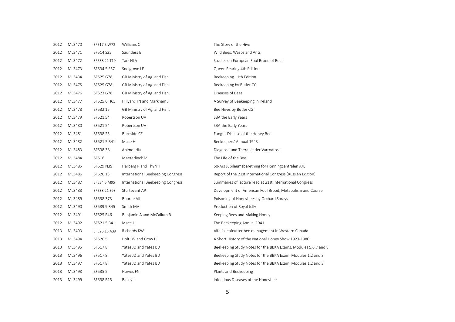| 2012 | ML3470 | SF517.5 W72  | Williams C                        | The Story of the Hive                                          |
|------|--------|--------------|-----------------------------------|----------------------------------------------------------------|
| 2012 | ML3471 | SF514 S25    | Saunders E                        | Wild Bees, Wasps and Ants                                      |
| 2012 | ML3472 | SF538.21 T19 | Tarr HLA                          | Studies on European Foul Brood of Bees                         |
| 2012 | ML3473 | SF534.5 S67  | Snelgrove LE                      | Queen Rearing 4th Edition                                      |
| 2012 | ML3434 | SF525 G78    | GB Ministry of Ag. and Fish.      | Beekeeping 11th Edition                                        |
| 2012 | ML3475 | SF525 G78    | GB Ministry of Ag. and Fish.      | Beekeeping by Butler CG                                        |
| 2012 | ML3476 | SF523 G78    | GB Ministry of Ag. and Fish.      | Diseases of Bees                                               |
| 2012 | ML3477 | SF525.6 H65  | Hillyard TN and Markham J         | A Survey of Beekeeping in Ireland                              |
| 2012 | ML3478 | SF532.15     | GB Ministry of Ag. and Fish.      | Bee Hives by Butler CG                                         |
| 2012 | ML3479 | SF521.54     | Robertson UA                      | SBA the Early Years                                            |
| 2012 | ML3480 | SF521.54     | Robertson UA                      | SBA the Early Years                                            |
| 2012 | ML3481 | SF538.25     | <b>Burnside CE</b>                | Fungus Disease of the Honey Bee                                |
| 2012 | ML3482 | SF521.5 B41  | Mace H                            | Beekeepers' Annual 1943                                        |
| 2012 | ML3483 | SF538.38     | Apimondia                         | Diagnose und Therapie der Varroatose                           |
| 2012 | ML3484 | SF516        | Maeterlinck M                     | The Life of the Bee                                            |
| 2012 | ML3485 | SF529 N39    | Herberg R and Thyri H             | 50-Ars Jubileumsberetning for Honningcentralen A/L             |
| 2012 | ML3486 | SF520.13     | International Beekeeping Congress | Report of the 21st International Congress (Russian Edition)    |
| 2012 | ML3487 | SF534.5 M95  | International Beekeeping Congress | Summaries of lecture read at 21st International Congress       |
| 2012 | ML3488 | SF538.21 S93 | Sturtevant AP                     | Development of American Foul Brood, Metabolism and Course      |
| 2012 | ML3489 | SF538.373    | Bourne All                        | Poisoning of Honeybees by Orchard Sprays                       |
| 2012 | ML3490 | SF539.9 R45  | Smith MV                          | Production of Royal Jelly                                      |
| 2012 | ML3491 | SF525 B46    | Benjamin A and McCallum B         | Keeping Bees and Making Honey                                  |
| 2012 | ML3492 | SF521.5 B41  | Mace H                            | The Beekeeping Annual 1941                                     |
| 2013 | ML3493 | SF526.15 A39 | Richards KW                       | Alfalfa leafcutter bee management in Western Canada            |
| 2013 | ML3494 | SF520.5      | Holt JW and Crow FJ               | A Short History of the National Honey Show 1923-1980           |
| 2013 | ML3495 | SF517.8      | Yates JD and Yates BD             | Beekeeping Study Notes for the BBKA Exams, Modules 5,6,7 and 8 |
| 2013 | ML3496 | SF517.8      | Yates JD and Yates BD             | Beekeeping Study Notes for the BBKA Exam, Modules 1,2 and 3    |
| 2013 | ML3497 | SF517.8      | Yates JD and Yates BD             | Beekeeping Study Notes for the BBKA Exam, Modules 1,2 and 3    |
| 2013 | ML3498 | SF535.5      | Howes FN                          | Plants and Beekeeping                                          |
| 2013 | ML3499 | SF538 B15    | Bailey L                          | Infectious Diseases of the Honeybee                            |
|      |        |              |                                   |                                                                |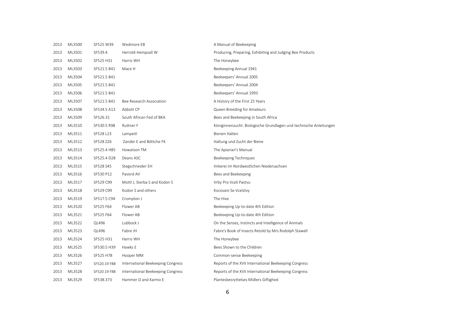| 2013 | ML3500 | SF525 W39    | Wedmore EB                        | A Manual of Beekeeping                                             |
|------|--------|--------------|-----------------------------------|--------------------------------------------------------------------|
| 2013 | ML3501 | SF539.4      | Herrold-Hempsall W                | Producing, Preparing, Exhibiting and Judging Bee Products          |
| 2013 | ML3502 | SF525 H31    | Harris WH                         | The Honeybee                                                       |
| 2013 | ML3503 | SF521.5 B41  | Mace H                            | Beekeeping Annual 1941                                             |
| 2013 | ML3504 | SF521.5 B41  |                                   | Beekeepers' Annual 2005                                            |
| 2013 | ML3505 | SF521.5 B41  |                                   | Beekeepers' Annual 2004                                            |
| 2013 | ML3506 | SF521.5 B41  |                                   | Beekeepers' Annual 1993                                            |
| 2013 | ML3507 | SF521.5 B41  | Bee Research Association          | A History of the First 25 Years                                    |
| 2013 | ML3508 | SF534.5 A13  | Abbott CP                         | Queen Breeding for Amateurs                                        |
| 2013 | ML3509 | SF526.31     | South African Fed of BKA          | Bees and Beekeeping in South Africa                                |
| 2013 | ML3510 | SF530.5 R98  | Ruttner F                         | Königinnenzucht. Biologische Grundlagen und technische Anleitungen |
| 2013 | ML3511 | SF528 L23    | Lampeitl                          | Bienen Halten                                                      |
| 2013 | ML3512 | SF528 Z26    | Zander E and Böttche FK           | Haltung und Zucht der Biene                                        |
| 2013 | ML3513 | SF525.4 H85  | Howatson TM                       | The Apiarian's Manual                                              |
| 2013 | ML3514 | SF525.4 D28  | Deans ASC                         | <b>Beekeeping Techniques</b>                                       |
| 2013 | ML3515 | SF528 S45    | Stegschneider EH                  | Imkerei im Nordwestlichen Niedersachsen                            |
| 2013 | ML3516 | SF530 P12    | Pavord AV                         | Bees and Beekeeping                                                |
| 2013 | ML3517 | SF529 C99    | Mottl J, Sterba S and Kodon S     | Vrby Pro Vceli Pastvu                                              |
| 2013 | ML3518 | SF529 C99    | Kodon S and others                | Kocovani Se Vcelstvy                                               |
| 2013 | ML3519 | SF517.5 C94  | Crompton J                        | The Hive                                                           |
| 2013 | ML3520 | SF525 F64    | Flower AB                         | Beekeeping Up-to-date 4th Edition                                  |
| 2013 | ML3521 | SF525 F64    | Flower AB                         | Beekeeping Up-to-date 4th Edition                                  |
| 2013 | ML3522 | QL496        | Lubbock J                         | On the Senses, Instincts and Intelligence of Animals               |
| 2013 | ML3523 | QL496        | Fabre JH                          | Fabre's Book of Insects Retold by Mrs Rodolph Stawell              |
| 2013 | ML3524 | SF525 H31    | Harris WH                         | The Honeybee                                                       |
| 2013 | ML3525 | SF530.5 H39  | Hawks E                           | Bees Shown to the Children                                         |
| 2013 | ML3526 | SF525 H78    | Hooper MM                         | Common-sense Beekeeping                                            |
| 2013 | ML3527 | SF520.19 F88 | International Beekeeping Congress | Reports of the XVII International Beekeeping Congress              |
| 2013 | ML3528 | SF520.19 F88 | International Beekeeping Congress | Reports of the XVII International Beekeeping Congress              |
| 2013 | ML3529 | SF538.373    | Hammer O and Karmo E              | Plantesbesryttelses Midlers Giftighed                              |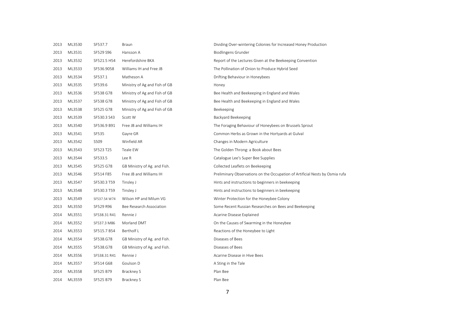| 2013 | ML3530 | SF537.7      | <b>Braun</b>                  | Dividing Over-wintering Colonies for Increased Honey Production              |
|------|--------|--------------|-------------------------------|------------------------------------------------------------------------------|
| 2013 | ML3531 | SF529 S96    | Hansson A                     | <b>Biodlingens Grunder</b>                                                   |
| 2013 | ML3532 | SF521.5 H54  | Herefordshire BKA             | Report of the Lectures Given at the Beekeeping Convention                    |
| 2013 | ML3533 | SF536.9058   | Williams IH and Free JB       | The Pollination of Onion to Produce Hybrid Seed                              |
| 2013 | ML3534 | SF537.1      | Matheson A                    | Drifting Behaviour in Honeybees                                              |
| 2013 | ML3535 | SF539.6      | Ministry of Ag and Fish of GB | Honey                                                                        |
| 2013 | ML3536 | SF538 G78    | Ministry of Ag and Fish of GB | Bee Health and Beekeeping in England and Wales                               |
| 2013 | ML3537 | SF538 G78    | Ministry of Ag and Fish of GB | Bee Health and Beekeeping in England and Wales                               |
| 2013 | ML3538 | SF525 G78    | Ministry of Ag and Fish of GB | Beekeeping                                                                   |
| 2013 | ML3539 | SF530.3 S43  | Scott W                       | Backyard Beekeeping                                                          |
| 2013 | ML3540 | SF536.9 B91  | Free JB and Williams IH       | The Foraging Behaviour of Honeybees on Brussels Sprout                       |
| 2013 | ML3541 | SF535        | Gayre GR                      | Common Herbs as Grown in the Hortyards at Gulval                             |
| 2013 | ML3542 | S509         | Winfield AR                   | Changes in Modern Agriculture                                                |
| 2013 | ML3543 | SF523 T25    | Teale EW                      | The Golden Throng: a Book about Bees                                         |
| 2013 | ML3544 | SF533.5      | Lee R                         | Catalogue Lee's Super Bee Supplies                                           |
| 2013 | ML3545 | SF525 G78    | GB Ministry of Ag. and Fish.  | Collected Leaflets on Beekeeping                                             |
| 2013 | ML3546 | SF514 F85    | Free JB and Williams IH       | Preliminary Observations on the Occupation of Artificial Nests by Osmia rufa |
| 2013 | ML3547 | SF530.3 T59  | Tinsley J                     | Hints and instructions to beginners in beekeeping                            |
| 2013 | ML3548 | SF530.3 T59  | Tinsley J                     | Hints and instructions to beginners in beekeeping                            |
| 2013 | ML3549 | SF537.54 W74 | Wilson HP and Milum VG        | Winter Protection for the Honeybee Colony                                    |
| 2013 | ML3550 | SF529 R96    | Bee Research Association      | Some Recent Russian Researches on Bees and Beekeeping                        |
| 2014 | ML3551 | SF538.31 R41 | Rennie J                      | Acarine Disease Explained                                                    |
| 2014 | ML3552 | SF537.3 M86  | Morland DMT                   | On the Causes of Swarming in the Honeybee                                    |
| 2014 | ML3553 | SF515.7 B54  | Bertholf L                    | Reactions of the Honeybee to Light                                           |
| 2014 | ML3554 | SF538.G78    | GB Ministry of Ag. and Fish.  | Diseases of Bees                                                             |
| 2014 | ML3555 | SF538.G78    | GB Ministry of Ag. and Fish.  | Diseases of Bees                                                             |
| 2014 | ML3556 | SF538.31 R41 | Rennie J                      | Acarine Disease in Hive Bees                                                 |
| 2014 | ML3557 | SF514 G68    | Goulson D                     | A Sting in the Tale                                                          |
| 2014 | ML3558 | SF525 B79    | Brackney S                    | Plan Bee                                                                     |
| 2014 | ML3559 | SF525 B79    | Brackney S                    | Plan Bee                                                                     |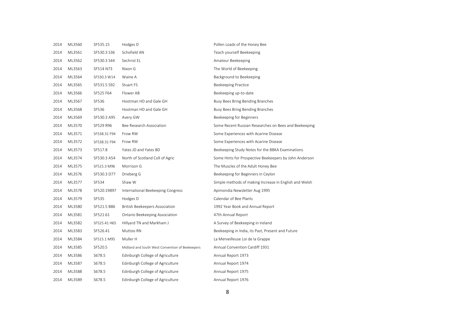| 2014 | ML3560 | SF535.15     | Hodges D                                        | Pollen Loads of the Honey Bee                          |
|------|--------|--------------|-------------------------------------------------|--------------------------------------------------------|
| 2014 | ML3561 | SF530.3 S36  | Schofield AN                                    | Teach yourself Beekeeping                              |
| 2014 | ML3562 | SF530.3 S44  | Sechrist EL                                     | Amateur Beekeeping                                     |
| 2014 | ML3563 | SF514 N73    | Nixon G                                         | The World of Beekeeping                                |
| 2014 | ML3564 | SF530.3 W14  | Waine A                                         | Background to Beekeeping                               |
| 2014 | ML3565 | SF531.5 S92  | Stuart FS                                       | Beekeeping Practice                                    |
| 2014 | ML3566 | SF525 F64    | Flower AB                                       | Beekeeping up-to-date                                  |
| 2014 | ML3567 | SF536        | Hootman HD and Gale GH                          | Busy Bees Bring Bending Branches                       |
| 2014 | ML3568 | SF536        | Hootman HD and Gale GH                          | Busy Bees Bring Bending Branches                       |
| 2014 | ML3569 | SF530.3 A95  | Avery GW                                        | Beekeeping for Beginners                               |
| 2014 | ML3570 | SF529 R96    | Bee Research Association                        | Some Recent Russian Researches on Bees and Beekeeping  |
| 2014 | ML3571 | SF538.31 F94 | Frow RW                                         | Some Experiences with Acarine Disease                  |
| 2014 | ML3572 | SF538.31 F94 | Frow RW                                         | Some Experiences with Acarine Disease                  |
| 2014 | ML3573 | SF517.8      | Yates JD and Yates BD                           | Beekeeping Study Notes for the BBKA Examinations       |
| 2014 | ML3574 | SF530.3 A54  | North of Scotland Coll of Agric                 | Some Hints for Prospective Beekeepers by John Anderson |
| 2014 | ML3575 | SF515.3 M96  | Morrison G                                      | The Muscles of the Adult Honey Bee                     |
| 2014 | ML3576 | SF530.3 D77  | Drieberg G                                      | Beekeeping for Beginners in Ceylon                     |
| 2014 | ML3577 | SF534        | Shaw W                                          | Simple methods of making Increase in English and Welsh |
| 2014 | ML3578 | SF520.19897  | International Beekeeping Congress               | Apimondia Newsletter Aug 1995                          |
| 2014 | ML3579 | SF535        | Hodges D                                        | Calendar of Bee Plants                                 |
| 2014 | ML3580 | SF521.5 B86  | <b>British Beekeepers Association</b>           | 1992 Year Book and Annual Report                       |
| 2014 | ML3581 | SF521.61     | Ontario Beekeeping Association                  | 47th Annual Report                                     |
| 2014 | ML3582 | SF525.41 H65 | Hillyard TN and Markham J                       | A Survey of Beekeeping in Ireland                      |
| 2014 | ML3583 | SF526.41     | Muttoo RN                                       | Beekeeping in India, its Past, Present and Future      |
| 2014 | ML3584 | SF515.1 M95  | Muller H                                        | La Merveilleuse Loi de la Grappe                       |
| 2014 | ML3585 | SF520.5      | Midland and South West Convention of Beekeepers | Annual Convention Cardiff 1931                         |
| 2014 | ML3586 | S678.5       | Edinburgh College of Agriculture                | Annual Report 1973                                     |
| 2014 | ML3587 | S678.5       | Edinburgh College of Agriculture                | Annual Report 1974                                     |
| 2014 | ML3588 | S678.5       | Edinburgh College of Agriculture                | Annual Report 1975                                     |
| 2014 | ML3589 | S678.5       | Edinburgh College of Agriculture                | Annual Report 1976                                     |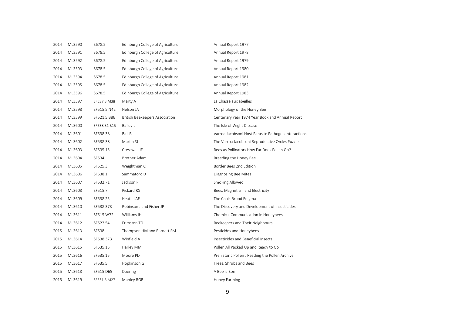| ML3590 | S678.5       | Edinburgh College of Agriculture      | Annual Report 1977                                   |
|--------|--------------|---------------------------------------|------------------------------------------------------|
| ML3591 | S678.5       | Edinburgh College of Agriculture      | Annual Report 1978                                   |
| ML3592 | S678.5       | Edinburgh College of Agriculture      | Annual Report 1979                                   |
| ML3593 | S678.5       | Edinburgh College of Agriculture      | Annual Report 1980                                   |
| ML3594 | S678.5       | Edinburgh College of Agriculture      | Annual Report 1981                                   |
| ML3595 | S678.5       | Edinburgh College of Agriculture      | Annual Report 1982                                   |
| ML3596 | S678.5       | Edinburgh College of Agriculture      | Annual Report 1983                                   |
| ML3597 | SF537.3 M38  | Marty A                               | La Chasse aux abeilles                               |
| ML3598 | SF515.5 N42  | Nelson JA                             | Morphology of the Honey Bee                          |
| ML3599 | SF521.5 B86  | <b>British Beekeepers Association</b> | Centenary Year 1974 Year Book and Annual Report      |
| ML3600 | SF538.31 B15 | Bailey L                              | The Isle of Wight Disease                            |
| ML3601 | SF538.38     | <b>Ball B</b>                         | Varroa Jacobsoni Host Parasite Pathogen Interactions |
| ML3602 | SF538.38     | Martin SJ                             | The Varroa Jacobsoni Reproductive Cycles Puzzle      |
| ML3603 | SF535.15     | Cresswell JE                          | Bees as Pollinators How Far Does Pollen Go?          |
| ML3604 | SF534        | Brother Adam                          | Breeding the Honey Bee                               |
| ML3605 | SF525.3      | Weightman C                           | Border Bees 2nd Edition                              |
| ML3606 | SF538.1      | Sammatoro D                           | Diagnosing Bee Mites                                 |
| ML3607 | SF532.71     | Jackson P                             | Smoking Allowed                                      |
| ML3608 | SF515.7      | Pickard RS                            | Bees, Magnetism and Electricity                      |
| ML3609 | SF538.25     | Heath LAF                             | The Chalk Brood Enigma                               |
| ML3610 | SF538.373    | Robinson J and Fisher JP              | The Discovery and Development of Insecticides        |
| ML3611 | SF515 W72    | Williams IH                           | Chemical Communication in Honeybees                  |
| ML3612 | SF522.54     | Frimston TD                           | Beekeepers and Their Neighbours                      |
| ML3613 | SF538        | Thompson HM and Barnett EM            | Pesticides and Honeybees                             |
| ML3614 | SF538.373    | Winfield A                            | Insecticides and Beneficial Insects                  |
| ML3615 | SF535.15     | Harley MM                             | Pollen All Packed Up and Ready to Go                 |
| ML3616 | SF535.15     | Moore PD                              | Prehistoric Pollen: Reading the Pollen Archive       |
| ML3617 | SF535.5      | Hopkinson G                           | Trees, Shrubs and Bees                               |
| ML3618 | SF515 D65    | Doering                               | A Bee is Born                                        |
| ML3619 | SF531.5 M27  | Manley ROB                            | Honey Farming                                        |
|        |              |                                       |                                                      |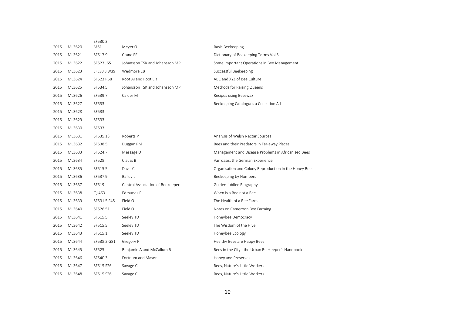|      |        | SF530.3      |                                   |                                                       |
|------|--------|--------------|-----------------------------------|-------------------------------------------------------|
| 2015 | ML3620 | M61          | Meyer O                           | <b>Basic Beekeeping</b>                               |
| 2015 | ML3621 | SF517.9      | Crane EE                          | Dictionary of Beekeeping Terms Vol 5                  |
| 2015 | ML3622 | SF523 J65    | Johansson TSK and Johansson MP    | Some Important Operations in Bee Management           |
| 2015 | ML3623 | SF530.3 W39  | Wedmore EB                        | Successful Beekeeping                                 |
| 2015 | ML3624 | SF523 R68    | Root AI and Root ER               | ABC and XYZ of Bee Culture                            |
| 2015 | ML3625 | SF534.5      | Johansson TSK and Johansson MP    | Methods for Raising Queens                            |
| 2015 | ML3626 | SF539.7      | Calder M                          | Recipes using Beeswax                                 |
| 2015 | ML3627 | SF533        |                                   | Beekeeping Catalogues a Collection A-L                |
| 2015 | ML3628 | SF533        |                                   |                                                       |
| 2015 | ML3629 | SF533        |                                   |                                                       |
| 2015 | ML3630 | SF533        |                                   |                                                       |
| 2015 | ML3631 | SF535.13     | Roberts P                         | Analysis of Welsh Nectar Sources                      |
| 2015 | ML3632 | SF538.5      | Duggan RM                         | Bees and their Predators in Far-away Places           |
| 2015 | ML3633 | SF524.7      | Message D                         | Management and Disease Problems in Africanised Bees   |
| 2015 | ML3634 | <b>SF528</b> | Clauss B                          | Varroasis, the German Experience                      |
| 2015 | ML3635 | SF515.5      | Davis C                           | Organisation and Colony Reproduction in the Honey Bee |
| 2015 | ML3636 | SF537.9      | Bailey L                          | Beekeeping by Numbers                                 |
| 2015 | ML3637 | SF519        | Central Association of Beekeepers | Golden Jubilee Biography                              |
| 2015 | ML3638 | QL463        | Edmunds P                         | When is a Bee not a Bee                               |
| 2015 | ML3639 | SF531.5 F45  | Field O                           | The Health of a Bee Farm                              |
| 2015 | ML3640 | SF526.51     | Field O                           | Notes on Cameroon Bee Farming                         |
| 2015 | ML3641 | SF515.5      | Seeley TD                         | Honeybee Democracy                                    |
| 2015 | ML3642 | SF515.5      | Seeley TD                         | The Wisdom of the Hive                                |
| 2015 | ML3643 | SF515.1      | Seeley TD                         | Honeybee Ecology                                      |
| 2015 | ML3644 | SF538.2 G81  | Gregory P                         | Healthy Bees are Happy Bees                           |
| 2015 | ML3645 | SF525        | Benjamin A and McCallum B         | Bees in the City; the Urban Beekeeper's Handbook      |
| 2015 | ML3646 | SF540.3      | Fortnum and Mason                 | Honey and Preserves                                   |
| 2015 | ML3647 | SF515 S26    | Savage C                          | Bees, Nature's Little Workers                         |
| 2015 | ML3648 | SF515 S26    | Savage C                          | Bees, Nature's Little Workers                         |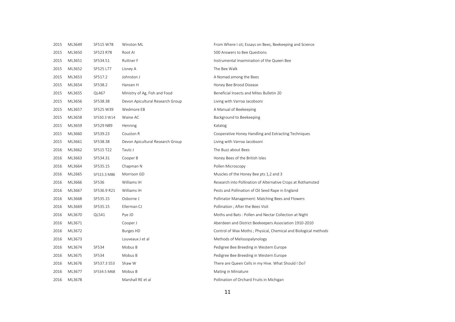| 2015 | ML3649 | SF515 W78   | Winston ML                       | From Where I sit; Essays on Bees, Beekeeping and Science        |
|------|--------|-------------|----------------------------------|-----------------------------------------------------------------|
| 2015 | ML3650 | SF523 R78   | Root Al                          | 500 Answers to Bee Questions                                    |
| 2015 | ML3651 | SF534.51    | Ruttner F                        | Instrumental Insemination of the Queen Bee                      |
| 2015 | ML3652 | SF525 L77   | Lisney A                         | The Bee Walk                                                    |
| 2015 | ML3653 | SF517.2     | Johnston J                       | A Nomad among the Bees                                          |
| 2015 | ML3654 | SF538.2     | Hansen H                         | Honey Bee Brood Disease                                         |
| 2015 | ML3655 | QL467       | Ministry of Ag, Fish and Food    | Beneficial Insects and Mites Bulletin 20                        |
| 2015 | ML3656 | SF538.38    | Devon Apicultural Research Group | Living with Varroa Jacobsoni                                    |
| 2015 | ML3657 | SF525 W39   | Wedmore EB                       | A Manual of Beekeeping                                          |
| 2015 | ML3658 | SF530.3 W14 | Waine AC                         | Background to Beekeeping                                        |
| 2015 | ML3659 | SF529 N89   | Henning                          | Katalog                                                         |
| 2015 | ML3660 | SF539.23    | Couston R                        | Cooperative Honey Handling and Extracting Techniques            |
| 2015 | ML3661 | SF538.38    | Devon Apicultural Research Group | Living with Varroa Jacobsoni                                    |
| 2016 | ML3662 | SF515 T22   | Tautz J                          | The Buzz about Bees                                             |
| 2016 | ML3663 | SF534.31    | Cooper B                         | Honey Bees of the British Isles                                 |
| 2016 | ML3664 | SF535.15    | Chapman N                        | Pollen Microscopy                                               |
| 2016 | ML2665 | SF515.3 M86 | Morrison GD                      | Muscles of the Honey Bee pts 1,2 and 3                          |
| 2016 | ML3666 | SF536       | Williams IH                      | Research into Pollination of Alternative Crops at Rothamsted    |
| 2016 | ML3667 | SF536.9 R21 | Williams IH                      | Pests and Pollination of Oil Seed Rape in England               |
| 2016 | ML3668 | SF535.15    | Osborne J                        | Pollinator Management: Matching Bees and Flowers                |
| 2016 | ML3669 | SF535.15    | Ellerman CJ                      | Pollination ; After the Bees Visit                              |
| 2016 | ML3670 | QL541       | Pye JD                           | Moths and Bats: Pollen and Nectar Collection at Night           |
| 2016 | ML3671 |             | Cooper J                         | Aberdeen and District Beekeepers Association 1910-2010          |
| 2016 | ML3672 |             | Burges HD                        | Control of Wax Moths; Physical, Chemical and Biological methods |
| 2016 | ML3673 |             | Louveaux J et al                 | Methods of Melissopalynology                                    |
| 2016 | ML3674 | SF534       | Mobus B                          | Pedigree Bee Breeding in Western Europe                         |
| 2016 | ML3675 | SF534       | Mobus B                          | Pedigree Bee Breeding in Western Europe                         |
| 2016 | ML3676 | SF537.3 S53 | Shaw W                           | There are Queen Cells in my Hive. What Should I Do?             |
| 2016 | ML3677 | SF534.5 M68 | Mobus B                          | Mating in Miniature                                             |
| 2016 | ML3678 |             | Marshall RE et al                | Pollination of Orchard Fruits in Michigan                       |
|      |        |             |                                  |                                                                 |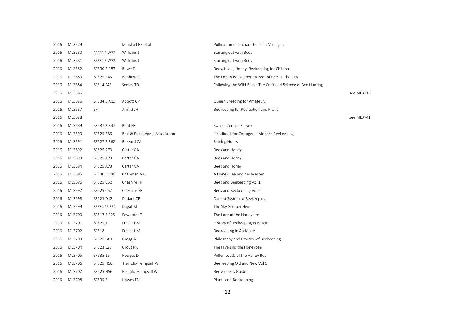| 2016 | ML3679 |              | Marshall RE et al                     | Pollination of Orchard Fruits in Michigan                     |            |
|------|--------|--------------|---------------------------------------|---------------------------------------------------------------|------------|
| 2016 | ML3680 | SF530.5 W72  | Williams J                            | Starting out with Bees                                        |            |
| 2016 | ML3681 | SF530.5 W72  | Williams J                            | Starting out with Bees                                        |            |
| 2016 | ML3682 | SF530.5 R87  | Rowe T                                | Bees, Hives, Honey. Beekeeping for Children                   |            |
| 2016 | ML3683 | SF525 B45    | Benbow S                              | The Urban Beekeeper; A Year of Bees in the City               |            |
| 2016 | ML3684 | SF514 S45    | Seeley TD                             | Following the Wild Bees: The Craft and Science of Bee Hunting |            |
| 2016 | ML3685 |              |                                       |                                                               | see ML3718 |
| 2016 | ML3686 | SF534.5 A13  | Abbott CP                             | Queen Breeding for Amateurs                                   |            |
| 2016 | ML3687 | SF           | Armitt JH                             | Beekeeping for Recreation and Profit                          |            |
| 2016 | ML3688 |              |                                       |                                                               | see ML3741 |
| 2016 | ML3689 | SF537.3 B47  | Bent ER                               | Swarm Control Survey                                          |            |
| 2016 | ML3690 | SF525 B86    | <b>British Beekeepers Association</b> | Handbook for Cottagers : Modern Beekeeping                    |            |
| 2016 | ML3691 | SF527.5 R62  | <b>Buzzard CA</b>                     | Shining Hours                                                 |            |
| 2016 | ML3692 | SF525 A73    | Carter GA                             | Bees and Honey                                                |            |
| 2016 | ML3693 | SF525 A73    | Carter GA                             | Bees and Honey                                                |            |
| 2016 | ML3694 | SF525 A73    | Carter GA                             | Bees and Honey                                                |            |
| 2016 | ML3695 | SF530.5 C46  | Chapman A D                           | A Honey Bee and her Master                                    |            |
| 2016 | ML3696 | SF525 C52    | Cheshire FR                           | Bees and Beekeeping Vol 1                                     |            |
| 2016 | ML3697 | SF525 C52    | Cheshire FR                           | Bees and Beekeeping Vol 2                                     |            |
| 2016 | ML3698 | SF523 D12    | Dadant CP                             | Dadant System of Beekeeping                                   |            |
| 2016 | ML3699 | SF532.15 S62 | Dugat M                               | The Sky-Scraper Hive                                          |            |
| 2016 | ML3700 | SF517.5 E25  | Edwardes T                            | The Lore of the Honeybee                                      |            |
| 2016 | ML3701 | SF525.1      | Fraser HM                             | History of Beekeeping in Britain                              |            |
| 2016 | ML3702 | SF518        | Fraser HM                             | Beekeeping in Antiquity                                       |            |
| 2016 | ML3703 | SF525 G81    | Gregg AL                              | Philosophy and Practice of Beekeeping                         |            |
| 2016 | ML3704 | SF523 L28    | Grout RA                              | The Hive and the Honeybee                                     |            |
| 2016 | ML3705 | SF535.15     | Hodges D                              | Pollen Loads of the Honey Bee                                 |            |
| 2016 | ML3706 | SF525 H56    | Herrold-Hempsall W                    | Beekeeping Old and New Vol 1                                  |            |
| 2016 | ML3707 | SF525 H56    | Herrold-Hempsall W                    | Beekeeper's Guide                                             |            |
| 2016 | ML3708 | SF535.5      | Howes FN                              | Plants and Beekeeping                                         |            |
|      |        |              |                                       |                                                               |            |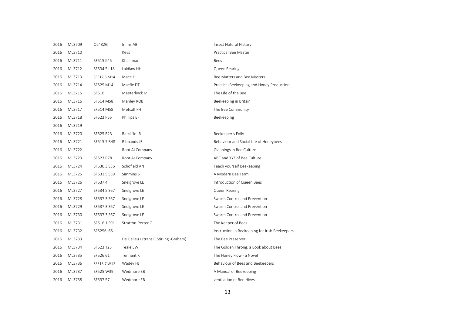| 2016 | ML3709 | QL482G      | Imms AB                                | Insect Natural History                         |
|------|--------|-------------|----------------------------------------|------------------------------------------------|
| 2016 | ML3710 |             | Keys T                                 | Practical Bee Master                           |
| 2016 | ML3711 | SF515 K45   | Khalifman I                            | Bees                                           |
| 2016 | ML3712 | SF534.5 L18 | Laidlaw HH                             | Queen Rearing                                  |
| 2016 | ML3713 | SF517.5 M14 | Mace H                                 | Bee Matters and Bee Masters                    |
| 2016 | ML3714 | SF525 M14   | Macfie DT                              | Practical Beekeeping and Honey Production      |
| 2016 | ML3715 | SF516       | Maeterlinck M                          | The Life of the Bee                            |
| 2016 | ML3716 | SF514 M58   | Manley ROB                             | Beekeeping in Britain                          |
| 2016 | ML3717 | SF514 M58   | Metcalf FH                             | The Bee Community                              |
| 2016 | ML3718 | SF523 P55   | Phillips EF                            | Beekeeping                                     |
| 2016 | ML3719 |             |                                        |                                                |
| 2016 | ML3720 | SF525 R23   | Ratcliffe JR                           | Beekeeper's Folly                              |
| 2016 | ML3721 | SF515.7 R48 | Ribbands JR                            | Behaviour and Social Life of Honeybees         |
| 2016 | ML3722 |             | Root Al Company                        | Gleanings in Bee Culture                       |
| 2016 | ML3723 | SF523 R78   | Root AI Company                        | ABC and XYZ of Bee Culture                     |
| 2016 | ML3724 | SF530.3 S36 | Schofield AN                           | Teach yourself Beekeeping                      |
| 2016 | ML3725 | SF531.5 S59 | Simmins S                              | A Modern Bee Farm                              |
| 2016 | ML3726 | SF537.4     | Snelgrove LE                           | Introduction of Queen Bees                     |
| 2016 | ML3727 | SF534.5 S67 | Snelgrove LE                           | Queen Rearing                                  |
| 2016 | ML3728 | SF537.3 S67 | Snelgrove LE                           | Swarm Control and Prevention                   |
| 2016 | ML3729 | SF537.3 S67 | Snelgrove LE                           | Swarm Control and Prevention                   |
| 2016 | ML3730 | SF537.3 S67 | Snelgrove LE                           | Swarm Control and Prevention                   |
| 2016 | ML3731 | SF516.1 S91 | Stratton-Porter G                      | The Keeper of Bees                             |
| 2016 | ML3732 | SF5256 I65  |                                        | Instruction in Beekeeping for Irish Beekeepers |
| 2016 | ML3733 |             | De Gelieu J (trans C Stirling -Graham) | The Bee Preserver                              |
| 2016 | ML3734 | SF523 T25   | Teale EW                               | The Golden Throng: a Book about Bees           |
| 2016 | ML3735 | SF526.61    | Tennant K                              | The Honey Flow - a Novel                       |
| 2016 | ML3736 | SF515.7 W12 | Wadey HJ                               | Behaviour of Bees and Beekeepers               |
| 2016 | ML3737 | SF525 W39   | Wedmore EB                             | A Manual of Beekeeping                         |
| 2016 | ML3738 | SF537 57    | Wedmore EB                             | ventilation of Bee Hives                       |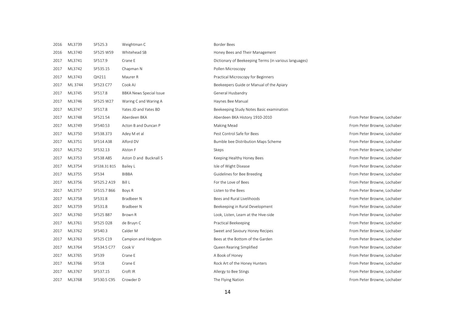| 2016 | ML3739  | SF525.3      | Weightman C                    | Border Bees         |
|------|---------|--------------|--------------------------------|---------------------|
| 2016 | ML3740  | SF525 W59    | Whitehead SB                   | Honey Bees          |
| 2017 | ML3741  | SF517.9      | Crane E                        | Dictionary of       |
| 2017 | ML3742  | SF535.15     | Chapman N                      | Pollen Micro        |
| 2017 | ML3743  | QH211        | Maurer R                       | Practical Mic       |
| 2017 | ML 3744 | SF523 C77    | Cook AJ                        | Beekeepers          |
| 2017 | ML3745  | SF517.8      | <b>BBKA News Special Issue</b> | General Husl        |
| 2017 | ML3746  | SF525 W27    | Waring C and Waring A          | Haynes Bee I        |
| 2017 | ML3747  | SF517.8      | Yates JD and Yates BD          | <b>Beekeeping</b> ! |
| 2017 | ML3748  | SF521.54     | Aberdeen BKA                   | Aberdeen Bk         |
| 2017 | ML3749  | SF540.53     | Acton B and Duncan P           | Making Mea          |
| 2017 | ML3750  | SF538.373    | Adey M et al                   | Pest Control        |
| 2017 | ML3751  | SF514 A38    | Alford DV                      | Bumble bee          |
| 2017 | ML3752  | SF532.13     | Alston F                       | Skeps               |
| 2017 | ML3753  | SF538 A85    | Aston D and Bucknall S         | Keeping Hea         |
| 2017 | ML3754  | SF538.31 B15 | Bailey L                       | Isle of Wight       |
| 2017 | ML3755  | SF534        | <b>BIBBA</b>                   | Guidelines fo       |
| 2017 | ML3756  | SF525.2 A19  | <b>Bill L</b>                  | For the Love        |
| 2017 | ML3757  | SF515.7 B66  | Boys R                         | Listen to the       |
| 2017 | ML3758  | SF531.8      | <b>Bradbeer N</b>              | Bees and Rui        |
| 2017 | ML3759  | SF531.8      | Bradbeer N                     | Beekeeping i        |
| 2017 | ML3760  | SF525 B87    | Brown R                        | Look, Listen,       |
| 2017 | ML3761  | SF525 D28    | de Bruyn C                     | Practical Bee       |
| 2017 | ML3762  | SF540.3      | Calder M                       | Sweet and Sa        |
| 2017 | ML3763  | SF525 C19    | Campion and Hodgson            | Bees at the E       |
| 2017 | ML3764  | SF534.5 C77  | Cook V                         | Queen Reari         |
| 2017 | ML3765  | SF539        | Crane E                        | A Book of Hc        |
| 2017 | ML3766  | SF518        | Crane E                        | Rock Art of t       |
| 2017 | ML3767  | SF537.15     | Croft IR                       | Allergy to Be       |
| 2017 | ML3768  | SF530.5 C95  | Crowder D                      | The Flying Na       |

Honey Bees and Their Management Dictionary of Beekeeping Terms (in various languages) Pollen Microscopy Practical Microscopy for Beginners Beekeepers Guide or Manual of the Apiary General Husbandry Havnes Bee Manual Beekeeping Study Notes Basic examination 2017 ML3748 SF521.54 Aberdeen BKA Aberdeen BKA History 1910-2010 From Peter Browne, Lochaber 2017 Making Mead **Separate State Browne, Lochaber** State Browne, Lochaber P Making Mead **From Peter Browne**, Lochaber Pest Control Safe for Bees From Peter Browne, Lochaber From Peter Browne, Lochaber 2017 Bumble bee Distribution Maps Scheme From Peter Browne, Lochaber 2017 Skeps From Peter Browne, Lochaber Skeps From Peter Browne, Lochaber Example 2017 Meeting Healthy Honey Bees From Peter Browne, Lochaber From Peter Browne, Lochaber 2017 Isle of Wight Disease **Secure 2017 September 2017** September 2017 The Security Prom Peter Browne, Lochaber 2017 Guidelines for Bee Breeding From Peter Browne, Lochaber 2017 From Peter Browne, Lochaber 2017 Listen to the Bees **Exercise Security Security Security Security Security Security Security Security Security Security Security Security Security Security Security Security Security Security Security Security Security** 2017 ML3758 SF531.8 Bradbeer N Bees and Rural Livelihoods From Peter Browne, Lochaber 2017 ML3759 SF531.8 Bradbeer N Beekeeping in Rural Development From Peter Browne, Lochaber 2017 I ook, Listen, Learn at the Hive-side From Peter Brown R Lochaber Practical Beekeeping **Contains a September 2017 of the Bruyn Contains a Prom Peter Browne, Lochaber** From Peter Browne, Lochaber 2017 Sweet and Savoury Honey Recipes From Peter M Savoury Honey Recipes From Peter Browne, Lochaber 2017 Bees at the Bottom of the Garden From Peter Browne, Lochaber 2017 Museum Cook and Transaction Simplified From Peter Browne, Lochaber 2017 MLST MESS SESSIES SERIES SERIES SERIES SERIES SERIES SERIES SERIES SERIES SERIES SERIES SERIES SERIES SERIES SERIES SERIES SERIES SERIES SERIES SERIES SERIES SERIES SERIES SERIES SERIES SERIES SERIES SERIES SERIES SER Prock Art of the Honey Hunters From Peter Browne, Lochaber 2018 Allergy to Bee Stings **State Inc.** Section 1977. The Section Inc. Section 1877. The State Inc. Allergy to Bee Stings **From Peter Browne**, Lochaber 2017 The Flying Nation Communication States of the From Peter Browne, Lochaber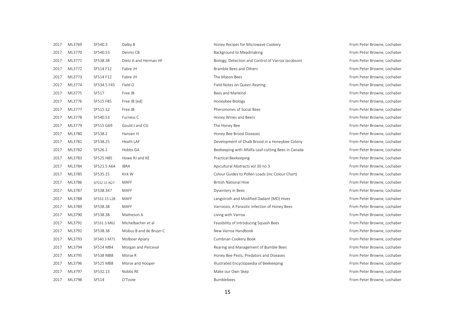| 2017 | ML3769 | SF540.3      | Dalby B                | Honey Recipes for Microwave Cookery                 | From Peter Browne, Lochaber |
|------|--------|--------------|------------------------|-----------------------------------------------------|-----------------------------|
| 2017 | ML3770 | SF540.53     | Dennis CB              | Background to Meadmaking                            | From Peter Browne, Lochaber |
| 2017 | ML3771 | SF538.38     | Dietz A and Herman HF  | Biology, Detection and Control of Varroa Jacobsoni  | From Peter Browne, Lochaber |
| 2017 | ML3772 | SF514 F12    | Fabre JH               | Bramble Bees and Others                             | From Peter Browne, Lochaber |
| 2017 | ML3773 | SF514 F12    | Fabre JH               | The Mason Bees                                      | From Peter Browne, Lochaber |
| 2017 | ML3774 | SF534.5 F45  | Field O                | Field Notes on Queen Rearing                        | From Peter Browne, Lochaber |
| 2017 | ML3775 | SF517        | Free JB                | Bees and Mankind                                    | From Peter Browne, Lochaber |
| 2017 | ML3776 | SF515 F85    | Free JB [ed]           | Honeybee Biology                                    | From Peter Browne, Lochaber |
| 2017 | ML3777 | SF515.12     | Free JB                | Pheromones of Social Bees                           | From Peter Browne, Lochaber |
| 2017 | ML3778 | SF540.53     | Furness C              | Honey Wines and Beers                               | From Peter Browne, Lochaber |
| 2017 | ML3779 | SF515 G69    | Gould J and CG         | The Honey Bee                                       | From Peter Browne, Lochaber |
| 2017 | ML3780 | SF538.2      | Hansen H               | Honey Bee Brood Diseases                            | From Peter Browne, Lochaber |
| 2017 | ML3781 | SF538.25     | Heath LAF              | Development of Chalk Brood in a Honeybee Colony     | From Peter Browne, Lochaber |
| 2017 | ML3782 | SF526.1      | Hobbs GA               | Beekeeping with Alfalfa Leaf-cutting Bees in Canada | From Peter Browne, Lochaber |
| 2017 | ML3783 | SF525 H85    | Howe RJ and KE         | Practical Beekeeping                                | From Peter Browne, Lochaber |
| 2017 | ML3784 | SF521.5 A64  | <b>IBRA</b>            | Apicultural Abstracts vol 30 no 3                   | From Peter Browne, Lochaber |
| 2017 | ML3785 | SF535.15     | Kirk W                 | Colour Guides to Pollen Loads (inc Colour Chart)    | From Peter Browne, Lochaber |
| 2017 | ML3786 | SF532.15 N27 | MAFF                   | <b>British National Hive</b>                        | From Peter Browne, Lochaber |
| 2017 | ML3787 | SF538.347    | <b>MAFF</b>            | Dysentery in Bees                                   | From Peter Browne, Lochaber |
| 2017 | ML3788 | SF532.15 L28 | <b>MAFF</b>            | Langstroth and Modified Dadant (MD) Hives           | From Peter Browne, Lochaber |
| 2017 | ML3789 | SF538.38     | <b>MAFF</b>            | Varroosis; A Parasitic infection of Honey Bees      | From Peter Browne, Lochaber |
| 2017 | ML3790 | SF538.38     | Matheson A             | Living with Varroa                                  | From Peter Browne, Lochaber |
| 2017 | ML3791 | SF531.3 M62  | Michelbacher et al     | Feasibility of Introducing Squash Bees              | From Peter Browne, Lochaber |
| 2017 | ML3792 | SF538.38     | Mobus B and de Bruyn C | New Varroa Handbook                                 | From Peter Browne, Lochaber |
| 2017 | ML3793 | SF540.3 M71  | Molboer Apiary         | Cumbrian Cookery Book                               | From Peter Browne, Lochaber |
| 2017 | ML3794 | SF514 M84    | Morgan and Perceval    | Rearing and Management of Bumble Bees               | From Peter Browne, Lochaber |
| 2017 | ML3795 | SF538 M88    | Morse R                | Honey Bee Pests, Predators and Diseases             | From Peter Browne, Lochaber |
| 2017 | ML3796 | SF525 M88    | Morse and Hooper       | Illustrated Encyclopaedia of Beekeeping             | From Peter Browne, Lochaber |
| 2017 | ML3797 | SF532.13     | Nobbs RE               | Make our Own Skep                                   | From Peter Browne, Lochaber |
| 2017 | ML3798 | SF514        | O'Toole                | <b>Bumblebees</b>                                   | From Peter Browne, Lochaber |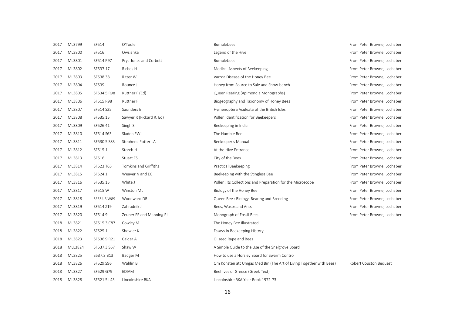| 2017 | ML3799  | SF514       | O'Toole                  | <b>Bumblebees</b>                                                   | From Peter Browne, Lochaber |
|------|---------|-------------|--------------------------|---------------------------------------------------------------------|-----------------------------|
| 2017 | ML3800  | SF516       | Owsianka                 | Legend of the Hive                                                  | From Peter Browne, Lochaber |
| 2017 | ML3801  | SF514.P97   | Prys-Jones and Corbett   | <b>Bumblebees</b>                                                   | From Peter Browne, Lochaber |
| 2017 | ML3802  | SF537.17    | Riches H                 | Medical Aspects of Beekeeping                                       | From Peter Browne, Lochaber |
| 2017 | ML3803  | SF538.38    | <b>Ritter W</b>          | Varroa Disease of the Honey Bee                                     | From Peter Browne, Lochaber |
| 2017 | ML3804  | SF539       | Rounce J                 | Honey from Source to Sale and Show-bench                            | From Peter Browne, Lochaber |
| 2017 | ML3805  | SF534.5 R98 | Ruttner F (Ed)           | Queen Rearing (Apimondia Monographs)                                | From Peter Browne, Lochaber |
| 2017 | ML3806  | SF515 R98   | <b>Ruttner F</b>         | Biogeography and Taxonomy of Honey Bees                             | From Peter Browne, Lochaber |
| 2017 | ML3807  | SF514 S25   | Saunders E               | Hymenoptera Aculeata of the British Isles                           | From Peter Browne, Lochaber |
| 2017 | ML3808  | SF535.15    | Sawyer R (Pickard R, Ed) | Pollen Identification for Beekeepers                                | From Peter Browne, Lochaber |
| 2017 | ML3809  | SF526.41    | Singh S                  | Beekeeping in India                                                 | From Peter Browne, Lochaber |
| 2017 | ML3810  | SF514 S63   | Sladen FWL               | The Humble Bee                                                      | From Peter Browne, Lochaber |
| 2017 | ML3811  | SF530.5 S83 | Stephens-Potter LA       | Beekeeper's Manual                                                  | From Peter Browne, Lochaber |
| 2017 | ML3812  | SF515.1     | Storch H                 | At the Hive Entrance                                                | From Peter Browne, Lochaber |
| 2017 | ML3813  | SF516       | Stuart FS                | City of the Bees                                                    | From Peter Browne, Lochaber |
| 2017 | ML3814  | SF523 T65   | Tomkins and Griffiths    | Practical Beekeeping                                                | From Peter Browne, Lochaber |
| 2017 | ML3815  | SF524.1     | Weaver N and EC          | Beekeeping with the Stingless Bee                                   | From Peter Browne, Lochaber |
| 2017 | ML3816  | SF535.15    | White J                  | Pollen: Its Collections and Preparation for the Microscope          | From Peter Browne, Lochaber |
| 2017 | ML3817  | SF515 W     | Winston ML               | Biology of the Honey Bee                                            | From Peter Browne, Lochaber |
| 2017 | ML3818  | SF534.5 W89 | Woodward DR              | Queen Bee: Biology, Rearing and Breeding                            | From Peter Browne, Lochaber |
| 2017 | ML3819  | SF514 Z19   | Zahradnik J              | Bees, Wasps and Ants                                                | From Peter Browne, Lochaber |
| 2017 | ML3820  | SF514.9     | Zeuner FE and Manning FJ | Monograph of Fossil Bees                                            | From Peter Browne, Lochaber |
| 2018 | ML3821  | SF515.3 C87 | Cowley M                 | The Honey Bee Illustrated                                           |                             |
| 2018 | ML3822  | SF525.1     | Showler K                | Essays in Beekeeping History                                        |                             |
| 2018 | ML3823  | SF536.9 R21 | Calder A                 | Oilseed Rape and Bees                                               |                             |
| 2018 | MLL3824 | SF537.3 S67 | Shaw W                   | A Simple Guide to the Use of the Snelgrove Board                    |                             |
| 2018 | ML3825  | S537.3 B13  | Badger M                 | How to use a Horsley Board for Swarm Control                        |                             |
| 2018 | ML3826  | SF529.S96   | Wahlin B                 | Om Konsten att Umgas Med Bin (The Art of Living Together with Bees) | Robert Couston Bequest      |
| 2018 | ML3827  | SF529 G79   | <b>EDIAM</b>             | Beehives of Greece (Greek Text)                                     |                             |
| 2018 | ML3828  | SF521.5 L43 | Lincolnshire BKA         | Lincolnshire BKA Year Book 1972-73                                  |                             |
|      |         |             |                          |                                                                     |                             |